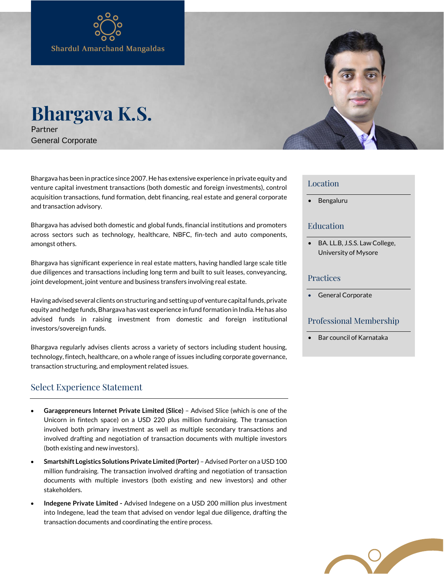# **Bhargava K.S.** Partner

General Corporate

Bhargava has been in practice since 2007. He has extensive experience in private equity and venture capital investment transactions (both domestic and foreign investments), control acquisition transactions, fund formation, debt financing, real estate and general corporate and transaction advisory.

Bhargava has advised both domestic and global funds, financial institutions and promoters across sectors such as technology, healthcare, NBFC, fin-tech and auto components, amongst others.

Bhargava has significant experience in real estate matters, having handled large scale title due diligences and transactions including long term and built to suit leases, conveyancing, joint development, joint venture and business transfers involving real estate.

Having advised several clients on structuring and setting up of venture capital funds, private equity and hedge funds, Bhargava has vast experience in fund formation in India. He has also advised funds in raising investment from domestic and foreign institutional investors/sovereign funds.

Bhargava regularly advises clients across a variety of sectors including student housing, technology, fintech, healthcare, on a whole range of issues including corporate governance, transaction structuring, and employment related issues.

## Select Experience Statement

- **Garagepreneurs Internet Private Limited (Slice)** Advised Slice (which is one of the Unicorn in fintech space) on a USD 220 plus million fundraising. The transaction involved both primary investment as well as multiple secondary transactions and involved drafting and negotiation of transaction documents with multiple investors (both existing and new investors).
- **Smartshift Logistics Solutions Private Limited (Porter)** Advised Porter on a USD 100 million fundraising. The transaction involved drafting and negotiation of transaction documents with multiple investors (both existing and new investors) and other stakeholders.
- **Indegene Private Limited -** Advised Indegene on a USD 200 million plus investment into Indegene, lead the team that advised on vendor legal due diligence, drafting the transaction documents and coordinating the entire process.

#### Location

• Bengaluru

### Education

• BA. LL.B, J.S.S. Law College, University of Mysore

#### Practices

General Corporate

#### Professional Membership

• Bar council of Karnataka